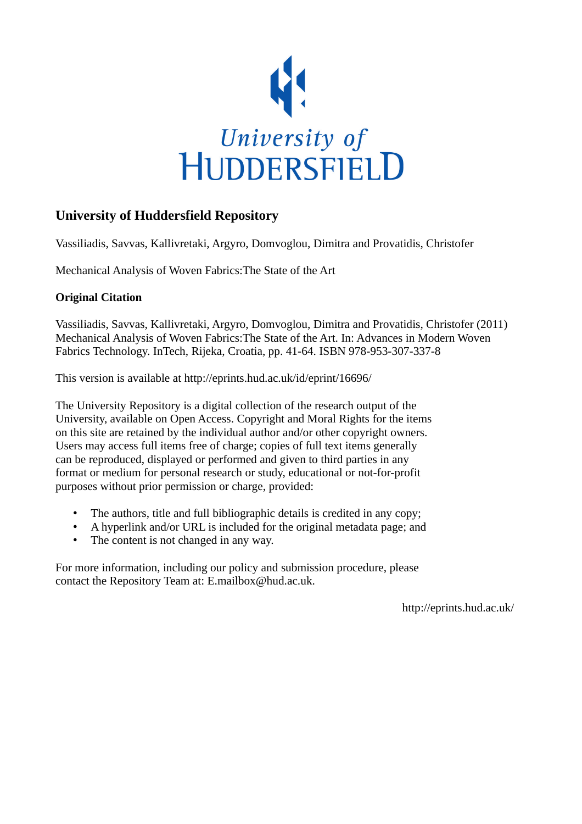

# **University of Huddersfield Repository**

Vassiliadis, Savvas, Kallivretaki, Argyro, Domvoglou, Dimitra and Provatidis, Christofer

Mechanical Analysis of Woven Fabrics:The State of the Art

# **Original Citation**

Vassiliadis, Savvas, Kallivretaki, Argyro, Domvoglou, Dimitra and Provatidis, Christofer (2011) Mechanical Analysis of Woven Fabrics:The State of the Art. In: Advances in Modern Woven Fabrics Technology. InTech, Rijeka, Croatia, pp. 41-64. ISBN 978-953-307-337-8

This version is available at http://eprints.hud.ac.uk/id/eprint/16696/

The University Repository is a digital collection of the research output of the University, available on Open Access. Copyright and Moral Rights for the items on this site are retained by the individual author and/or other copyright owners. Users may access full items free of charge; copies of full text items generally can be reproduced, displayed or performed and given to third parties in any format or medium for personal research or study, educational or not-for-profit purposes without prior permission or charge, provided:

- The authors, title and full bibliographic details is credited in any copy;
- A hyperlink and/or URL is included for the original metadata page; and
- The content is not changed in any way.

For more information, including our policy and submission procedure, please contact the Repository Team at: E.mailbox@hud.ac.uk.

http://eprints.hud.ac.uk/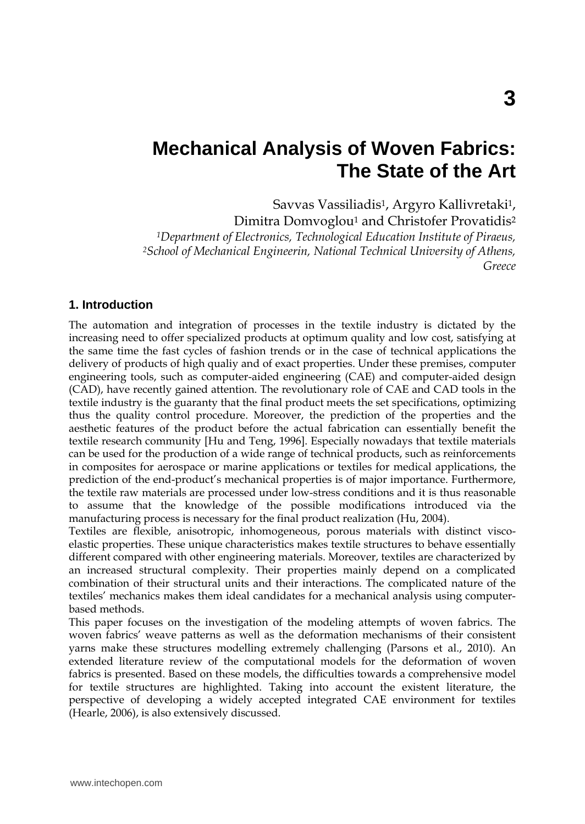# **Mechanical Analysis of Woven Fabrics: The State of the Art**

Savvas Vassiliadis<sup>1</sup>, Argyro Kallivretaki<sup>1</sup>, Dimitra Domvoglou<sup>1</sup> and Christofer Provatidis<sup>2</sup> *<sup>1</sup>Department of Electronics, Technological Education Institute of Piraeus, <sup>2</sup>School of Mechanical Engineerin, National Technical University of Athens, Greece* 

## **1. Introduction**

The automation and integration of processes in the textile industry is dictated by the increasing need to offer specialized products at optimum quality and low cost, satisfying at the same time the fast cycles of fashion trends or in the case of technical applications the delivery of products of high qualiy and of exact properties. Under these premises, computer engineering tools, such as computer-aided engineering (CAE) and computer-aided design (CAD), have recently gained attention. The revolutionary role of CAE and CAD tools in the textile industry is the guaranty that the final product meets the set specifications, optimizing thus the quality control procedure. Moreover, the prediction of the properties and the aesthetic features of the product before the actual fabrication can essentially benefit the textile research community [Hu and Teng, 1996]. Especially nowadays that textile materials can be used for the production of a wide range of technical products, such as reinforcements in composites for aerospace or marine applications or textiles for medical applications, the prediction of the end-product's mechanical properties is of major importance. Furthermore, the textile raw materials are processed under low-stress conditions and it is thus reasonable to assume that the knowledge of the possible modifications introduced via the manufacturing process is necessary for the final product realization (Hu, 2004).

Textiles are flexible, anisotropic, inhomogeneous, porous materials with distinct viscoelastic properties. These unique characteristics makes textile structures to behave essentially different compared with other engineering materials. Moreover, textiles are characterized by an increased structural complexity. Their properties mainly depend on a complicated combination of their structural units and their interactions. The complicated nature of the textiles' mechanics makes them ideal candidates for a mechanical analysis using computerbased methods.

This paper focuses on the investigation of the modeling attempts of woven fabrics. The woven fabrics' weave patterns as well as the deformation mechanisms of their consistent yarns make these structures modelling extremely challenging (Parsons et al., 2010). An extended literature review of the computational models for the deformation of woven fabrics is presented. Based on these models, the difficulties towards a comprehensive model for textile structures are highlighted. Taking into account the existent literature, the perspective of developing a widely accepted integrated CAE environment for textiles (Hearle, 2006), is also extensively discussed.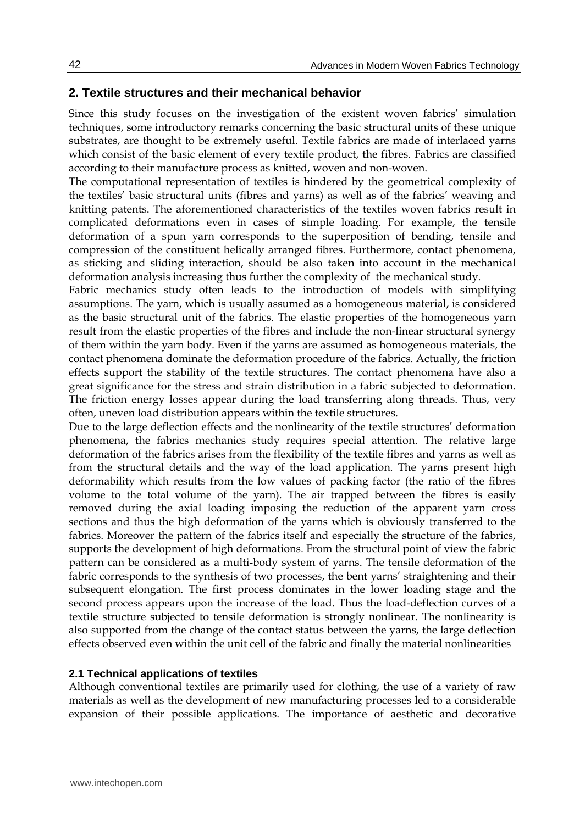# **2. Textile structures and their mechanical behavior**

Since this study focuses on the investigation of the existent woven fabrics' simulation techniques, some introductory remarks concerning the basic structural units of these unique substrates, are thought to be extremely useful. Textile fabrics are made of interlaced yarns which consist of the basic element of every textile product, the fibres. Fabrics are classified according to their manufacture process as knitted, woven and non-woven.

The computational representation of textiles is hindered by the geometrical complexity of the textiles' basic structural units (fibres and yarns) as well as of the fabrics' weaving and knitting patents. The aforementioned characteristics of the textiles woven fabrics result in complicated deformations even in cases of simple loading. For example, the tensile deformation of a spun yarn corresponds to the superposition of bending, tensile and compression of the constituent helically arranged fibres. Furthermore, contact phenomena, as sticking and sliding interaction, should be also taken into account in the mechanical deformation analysis increasing thus further the complexity of the mechanical study.

Fabric mechanics study often leads to the introduction of models with simplifying assumptions. The yarn, which is usually assumed as a homogeneous material, is considered as the basic structural unit of the fabrics. The elastic properties of the homogeneous yarn result from the elastic properties of the fibres and include the non-linear structural synergy of them within the yarn body. Even if the yarns are assumed as homogeneous materials, the contact phenomena dominate the deformation procedure of the fabrics. Actually, the friction effects support the stability of the textile structures. The contact phenomena have also a great significance for the stress and strain distribution in a fabric subjected to deformation. The friction energy losses appear during the load transferring along threads. Thus, very often, uneven load distribution appears within the textile structures.

Due to the large deflection effects and the nonlinearity of the textile structures' deformation phenomena, the fabrics mechanics study requires special attention. The relative large deformation of the fabrics arises from the flexibility of the textile fibres and yarns as well as from the structural details and the way of the load application. The yarns present high deformability which results from the low values of packing factor (the ratio of the fibres volume to the total volume of the yarn). The air trapped between the fibres is easily removed during the axial loading imposing the reduction of the apparent yarn cross sections and thus the high deformation of the yarns which is obviously transferred to the fabrics. Moreover the pattern of the fabrics itself and especially the structure of the fabrics, supports the development of high deformations. From the structural point of view the fabric pattern can be considered as a multi-body system of yarns. The tensile deformation of the fabric corresponds to the synthesis of two processes, the bent yarns' straightening and their subsequent elongation. The first process dominates in the lower loading stage and the second process appears upon the increase of the load. Thus the load-deflection curves of a textile structure subjected to tensile deformation is strongly nonlinear. The nonlinearity is also supported from the change of the contact status between the yarns, the large deflection effects observed even within the unit cell of the fabric and finally the material nonlinearities

## **2.1 Technical applications of textiles**

Although conventional textiles are primarily used for clothing, the use of a variety of raw materials as well as the development of new manufacturing processes led to a considerable expansion of their possible applications. The importance of aesthetic and decorative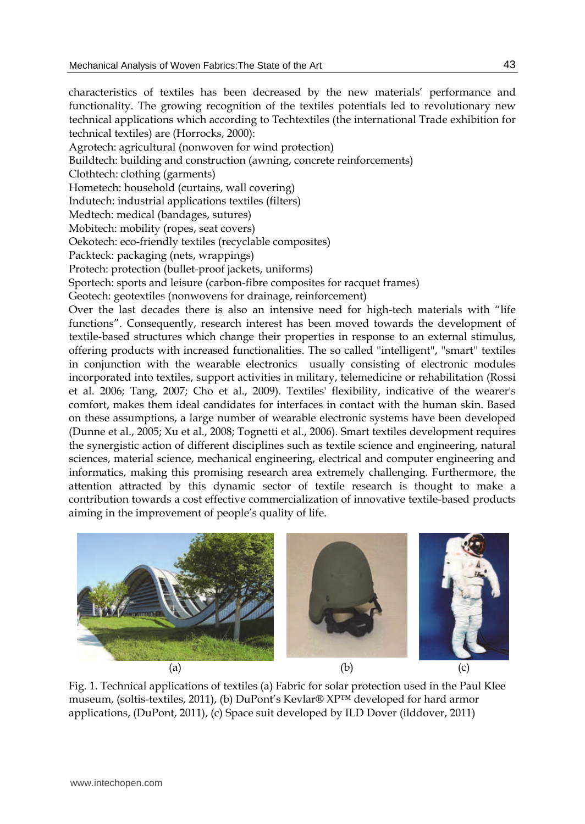characteristics of textiles has been decreased by the new materials' performance and functionality. The growing recognition of the textiles potentials led to revolutionary new technical applications which according to Techtextiles (the international Trade exhibition for technical textiles) are (Horrocks, 2000): Agrotech: agricultural (nonwoven for wind protection) Buildtech: building and construction (awning, concrete reinforcements) Clothtech: clothing (garments) Hometech: household (curtains, wall covering) Indutech: industrial applications textiles (filters) Medtech: medical (bandages, sutures) Mobitech: mobility (ropes, seat covers) Oekotech: eco-friendly textiles (recyclable composites) Packteck: packaging (nets, wrappings) Protech: protection (bullet-proof jackets, uniforms) Sportech: sports and leisure (carbon-fibre composites for racquet frames) Geotech: geotextiles (nonwovens for drainage, reinforcement) Over the last decades there is also an intensive need for high-tech materials with "life functions". Consequently, research interest has been moved towards the development of textile-based structures which change their properties in response to an external stimulus, offering products with increased functionalities. The so called ''intelligent'', ''smart'' textiles in conjunction with the wearable electronics usually consisting of electronic modules incorporated into textiles, support activities in military, telemedicine or rehabilitation (Rossi et al. 2006; Tang, 2007; Cho et al., 2009). Textiles' flexibility, indicative of the wearer's comfort, makes them ideal candidates for interfaces in contact with the human skin. Based on these assumptions, a large number of wearable electronic systems have been developed (Dunne et al., 2005; Xu et al., 2008; Tognetti et al., 2006). Smart textiles development requires the synergistic action of different disciplines such as textile science and engineering, natural sciences, material science, mechanical engineering, electrical and computer engineering and informatics, making this promising research area extremely challenging. Furthermore, the attention attracted by this dynamic sector of textile research is thought to make a contribution towards a cost effective commercialization of innovative textile-based products aiming in the improvement of people's quality of life.



Fig. 1. Technical applications of textiles (a) Fabric for solar protection used in the Paul Klee museum, (soltis-textiles, 2011), (b) DuPont's Kevlar® XP™ developed for hard armor applications, (DuPont, 2011), (c) Space suit developed by ILD Dover (ilddover, 2011)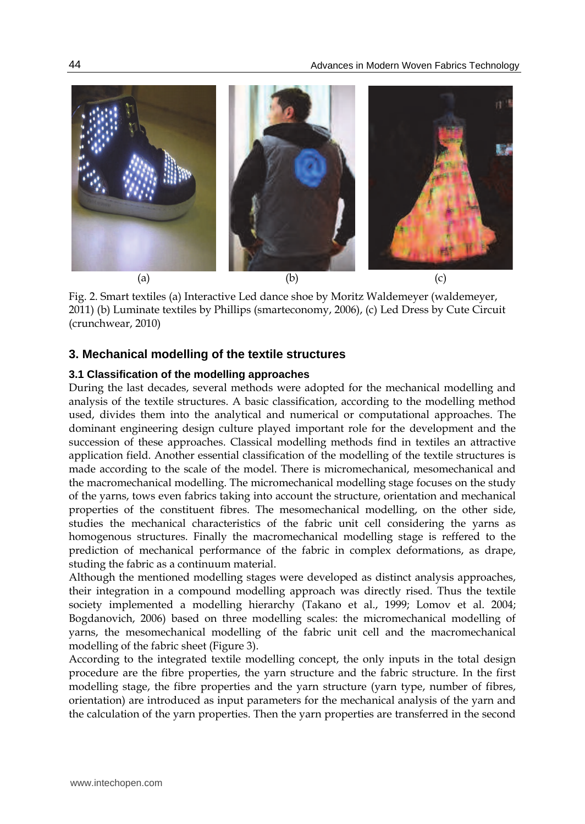

Fig. 2. Smart textiles (a) Interactive Led dance shoe by Moritz Waldemeyer (waldemeyer, 2011) (b) Luminate textiles by Phillips (smarteconomy, 2006), (c) Led Dress by Cute Circuit (crunchwear, 2010)

# **3. Mechanical modelling of the textile structures**

#### **3.1 Classification of the modelling approaches**

During the last decades, several methods were adopted for the mechanical modelling and analysis of the textile structures. A basic classification, according to the modelling method used, divides them into the analytical and numerical or computational approaches. The dominant engineering design culture played important role for the development and the succession of these approaches. Classical modelling methods find in textiles an attractive application field. Another essential classification of the modelling of the textile structures is made according to the scale of the model. There is micromechanical, mesomechanical and the macromechanical modelling. The micromechanical modelling stage focuses on the study of the yarns, tows even fabrics taking into account the structure, orientation and mechanical properties of the constituent fibres. The mesomechanical modelling, on the other side, studies the mechanical characteristics of the fabric unit cell considering the yarns as homogenous structures. Finally the macromechanical modelling stage is reffered to the prediction of mechanical performance of the fabric in complex deformations, as drape, studing the fabric as a continuum material.

Although the mentioned modelling stages were developed as distinct analysis approaches, their integration in a compound modelling approach was directly rised. Thus the textile society implemented a modelling hierarchy (Takano et al., 1999; Lomov et al. 2004; Bogdanovich, 2006) based on three modelling scales: the micromechanical modelling of yarns, the mesomechanical modelling of the fabric unit cell and the macromechanical modelling of the fabric sheet (Figure 3).

According to the integrated textile modelling concept, the only inputs in the total design procedure are the fibre properties, the yarn structure and the fabric structure. In the first modelling stage, the fibre properties and the yarn structure (yarn type, number of fibres, orientation) are introduced as input parameters for the mechanical analysis of the yarn and the calculation of the yarn properties. Then the yarn properties are transferred in the second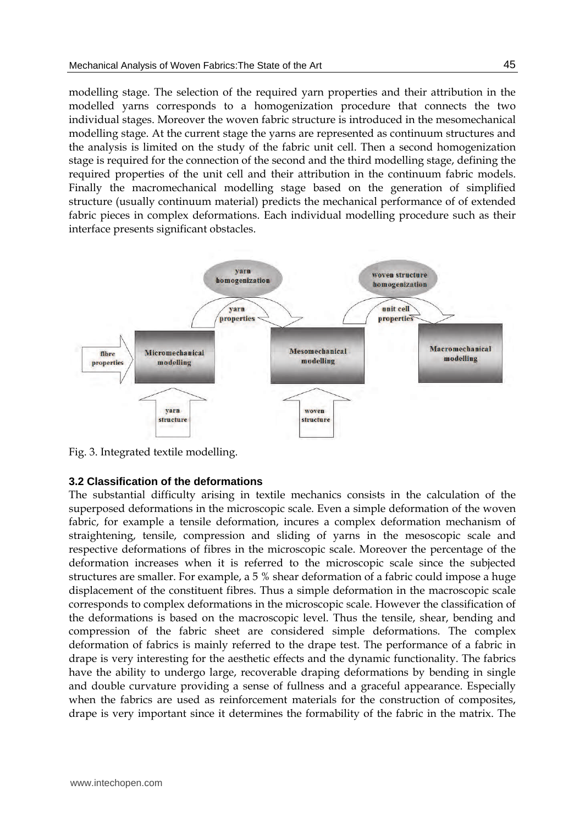modelling stage. The selection of the required yarn properties and their attribution in the modelled yarns corresponds to a homogenization procedure that connects the two individual stages. Moreover the woven fabric structure is introduced in the mesomechanical modelling stage. At the current stage the yarns are represented as continuum structures and the analysis is limited on the study of the fabric unit cell. Then a second homogenization stage is required for the connection of the second and the third modelling stage, defining the required properties of the unit cell and their attribution in the continuum fabric models. Finally the macromechanical modelling stage based on the generation of simplified structure (usually continuum material) predicts the mechanical performance of of extended fabric pieces in complex deformations. Each individual modelling procedure such as their interface presents significant obstacles.



Fig. 3. Integrated textile modelling.

## **3.2 Classification of the deformations**

The substantial difficulty arising in textile mechanics consists in the calculation of the superposed deformations in the microscopic scale. Even a simple deformation of the woven fabric, for example a tensile deformation, incures a complex deformation mechanism of straightening, tensile, compression and sliding of yarns in the mesoscopic scale and respective deformations of fibres in the microscopic scale. Moreover the percentage of the deformation increases when it is referred to the microscopic scale since the subjected structures are smaller. For example, a 5 % shear deformation of a fabric could impose a huge displacement of the constituent fibres. Thus a simple deformation in the macroscopic scale corresponds to complex deformations in the microscopic scale. However the classification of the deformations is based on the macroscopic level. Thus the tensile, shear, bending and compression of the fabric sheet are considered simple deformations. The complex deformation of fabrics is mainly referred to the drape test. The performance of a fabric in drape is very interesting for the aesthetic effects and the dynamic functionality. The fabrics have the ability to undergo large, recoverable draping deformations by bending in single and double curvature providing a sense of fullness and a graceful appearance. Especially when the fabrics are used as reinforcement materials for the construction of composites, drape is very important since it determines the formability of the fabric in the matrix. The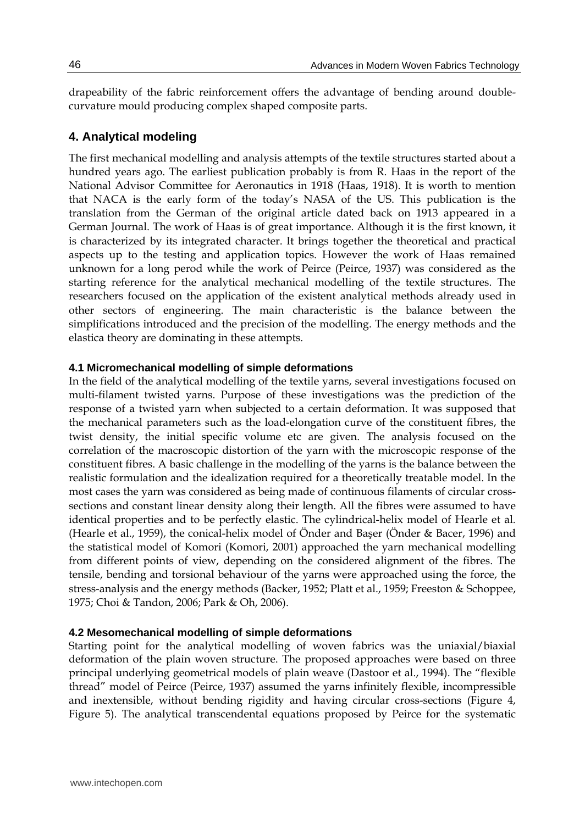drapeability of the fabric reinforcement offers the advantage of bending around doublecurvature mould producing complex shaped composite parts.

# **4. Analytical modeling**

The first mechanical modelling and analysis attempts of the textile structures started about a hundred years ago. The earliest publication probably is from R. Haas in the report of the National Advisor Committee for Aeronautics in 1918 (Haas, 1918). It is worth to mention that NACA is the early form of the today's NASA of the US. This publication is the translation from the German of the original article dated back on 1913 appeared in a German Journal. The work of Haas is of great importance. Although it is the first known, it is characterized by its integrated character. It brings together the theoretical and practical aspects up to the testing and application topics. However the work of Haas remained unknown for a long perod while the work of Peirce (Peirce, 1937) was considered as the starting reference for the analytical mechanical modelling of the textile structures. The researchers focused on the application of the existent analytical methods already used in other sectors of engineering. The main characteristic is the balance between the simplifications introduced and the precision of the modelling. The energy methods and the elastica theory are dominating in these attempts.

#### **4.1 Micromechanical modelling of simple deformations**

In the field of the analytical modelling of the textile yarns, several investigations focused on multi-filament twisted yarns. Purpose of these investigations was the prediction of the response of a twisted yarn when subjected to a certain deformation. It was supposed that the mechanical parameters such as the load-elongation curve of the constituent fibres, the twist density, the initial specific volume etc are given. The analysis focused on the correlation of the macroscopic distortion of the yarn with the microscopic response of the constituent fibres. A basic challenge in the modelling of the yarns is the balance between the realistic formulation and the idealization required for a theoretically treatable model. In the most cases the yarn was considered as being made of continuous filaments of circular crosssections and constant linear density along their length. All the fibres were assumed to have identical properties and to be perfectly elastic. The cylindrical-helix model of Hearle et al*.* (Hearle et al., 1959), the conical-helix model of Önder and Başer (Önder & Bacer, 1996) and the statistical model of Komori (Komori, 2001) approached the yarn mechanical modelling from different points of view, depending on the considered alignment of the fibres. The tensile, bending and torsional behaviour of the yarns were approached using the force, the stress-analysis and the energy methods (Backer, 1952; Platt et al., 1959; Freeston & Schoppee, 1975; Choi & Tandon, 2006; Park & Oh, 2006).

#### **4.2 Mesomechanical modelling of simple deformations**

Starting point for the analytical modelling of woven fabrics was the uniaxial/biaxial deformation of the plain woven structure. The proposed approaches were based on three principal underlying geometrical models of plain weave (Dastoor et al., 1994). The "flexible thread" model of Peirce (Peirce, 1937) assumed the yarns infinitely flexible, incompressible and inextensible, without bending rigidity and having circular cross-sections (Figure 4, Figure 5). The analytical transcendental equations proposed by Peirce for the systematic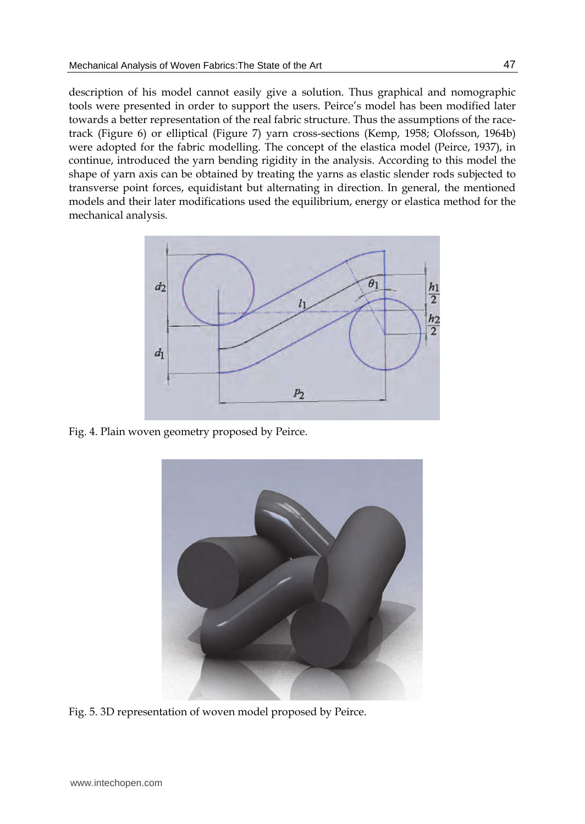description of his model cannot easily give a solution. Thus graphical and nomographic tools were presented in order to support the users. Peirce's model has been modified later towards a better representation of the real fabric structure. Thus the assumptions of the racetrack (Figure 6) or elliptical (Figure 7) yarn cross-sections (Kemp, 1958; Olofsson, 1964b) were adopted for the fabric modelling. The concept of the elastica model (Peirce, 1937), in continue, introduced the yarn bending rigidity in the analysis. According to this model the shape of yarn axis can be obtained by treating the yarns as elastic slender rods subjected to transverse point forces, equidistant but alternating in direction. In general, the mentioned models and their later modifications used the equilibrium, energy or elastica method for the mechanical analysis.



Fig. 4. Plain woven geometry proposed by Peirce.



Fig. 5. 3D representation of woven model proposed by Peirce.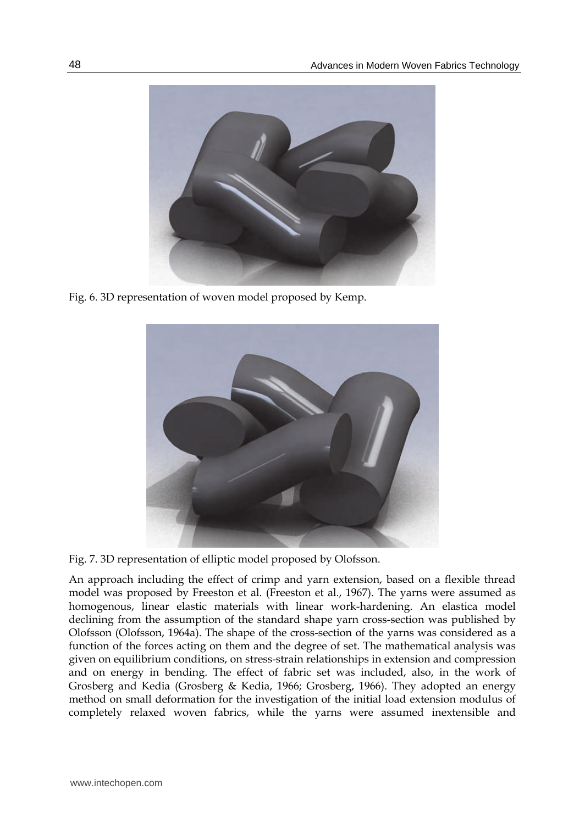

Fig. 6. 3D representation of woven model proposed by Kemp.



Fig. 7. 3D representation of elliptic model proposed by Olofsson.

An approach including the effect of crimp and yarn extension, based on a flexible thread model was proposed by Freeston et al. (Freeston et al., 1967). The yarns were assumed as homogenous, linear elastic materials with linear work-hardening. An elastica model declining from the assumption of the standard shape yarn cross-section was published by Olofsson (Olofsson, 1964a). The shape of the cross-section of the yarns was considered as a function of the forces acting on them and the degree of set. The mathematical analysis was given on equilibrium conditions, on stress-strain relationships in extension and compression and on energy in bending. The effect of fabric set was included, also, in the work of Grosberg and Kedia (Grosberg & Kedia, 1966; Grosberg, 1966). They adopted an energy method on small deformation for the investigation of the initial load extension modulus of completely relaxed woven fabrics, while the yarns were assumed inextensible and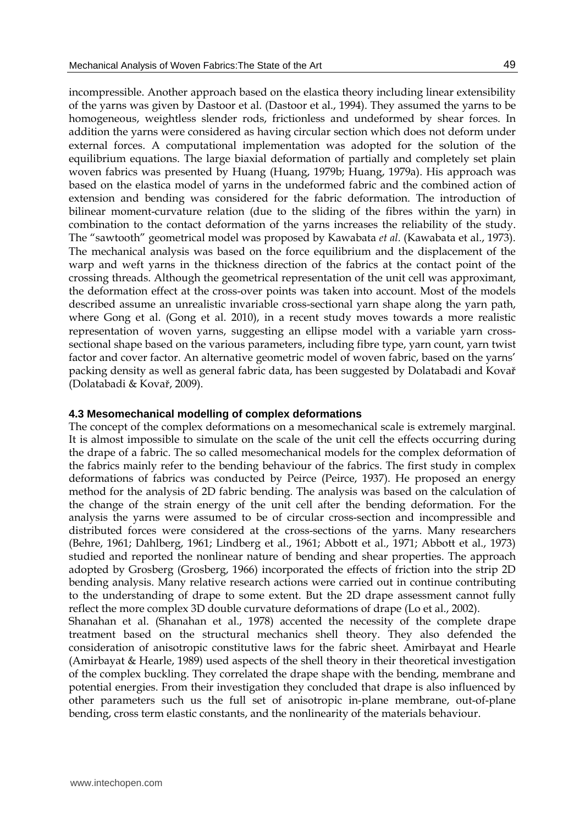incompressible. Another approach based on the elastica theory including linear extensibility of the yarns was given by Dastoor et al. (Dastoor et al., 1994). They assumed the yarns to be homogeneous, weightless slender rods, frictionless and undeformed by shear forces. In addition the yarns were considered as having circular section which does not deform under external forces. A computational implementation was adopted for the solution of the equilibrium equations. The large biaxial deformation of partially and completely set plain woven fabrics was presented by Huang (Huang, 1979b; Huang, 1979a). His approach was based on the elastica model of yarns in the undeformed fabric and the combined action of extension and bending was considered for the fabric deformation. The introduction of bilinear moment-curvature relation (due to the sliding of the fibres within the yarn) in combination to the contact deformation of the yarns increases the reliability of the study. The "sawtooth" geometrical model was proposed by Kawabata *et al*. (Kawabata et al., 1973). The mechanical analysis was based on the force equilibrium and the displacement of the warp and weft yarns in the thickness direction of the fabrics at the contact point of the crossing threads. Although the geometrical representation of the unit cell was approximant, the deformation effect at the cross-over points was taken into account. Most of the models described assume an unrealistic invariable cross-sectional yarn shape along the yarn path, where Gong et al. (Gong et al. 2010), in a recent study moves towards a more realistic representation of woven yarns, suggesting an ellipse model with a variable yarn crosssectional shape based on the various parameters, including fibre type, yarn count, yarn twist factor and cover factor. An alternative geometric model of woven fabric, based on the yarns' packing density as well as general fabric data, has been suggested by Dolatabadi and Kovař (Dolatabadi & Kovař, 2009).

#### **4.3 Mesomechanical modelling of complex deformations**

The concept of the complex deformations on a mesomechanical scale is extremely marginal. It is almost impossible to simulate on the scale of the unit cell the effects occurring during the drape of a fabric. The so called mesomechanical models for the complex deformation of the fabrics mainly refer to the bending behaviour of the fabrics. The first study in complex deformations of fabrics was conducted by Peirce (Peirce, 1937). He proposed an energy method for the analysis of 2D fabric bending. The analysis was based on the calculation of the change of the strain energy of the unit cell after the bending deformation. For the analysis the yarns were assumed to be of circular cross-section and incompressible and distributed forces were considered at the cross-sections of the yarns. Many researchers (Behre, 1961; Dahlberg, 1961; Lindberg et al., 1961; Abbott et al., 1971; Abbott et al., 1973) studied and reported the nonlinear nature of bending and shear properties. The approach adopted by Grosberg (Grosberg, 1966) incorporated the effects of friction into the strip 2D bending analysis. Many relative research actions were carried out in continue contributing to the understanding of drape to some extent. But the 2D drape assessment cannot fully reflect the more complex 3D double curvature deformations of drape (Lo et al., 2002).

Shanahan et al. (Shanahan et al., 1978) accented the necessity of the complete drape treatment based on the structural mechanics shell theory. They also defended the consideration of anisotropic constitutive laws for the fabric sheet. Amirbayat and Hearle (Amirbayat & Hearle, 1989) used aspects of the shell theory in their theoretical investigation of the complex buckling. They correlated the drape shape with the bending, membrane and potential energies. From their investigation they concluded that drape is also influenced by other parameters such us the full set of anisotropic in-plane membrane, out-of-plane bending, cross term elastic constants, and the nonlinearity of the materials behaviour.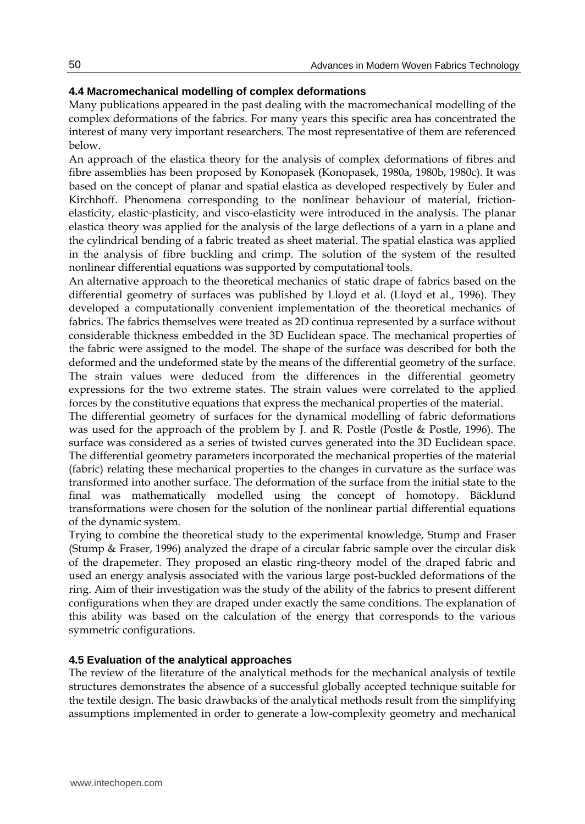# **4.4 Macromechanical modelling of complex deformations**

Many publications appeared in the past dealing with the macromechanical modelling of the complex deformations of the fabrics. For many years this specific area has concentrated the interest of many very important researchers. The most representative of them are referenced below.

An approach of the elastica theory for the analysis of complex deformations of fibres and fibre assemblies has been proposed by Konopasek (Konopasek, 1980a, 1980b, 1980c). It was based on the concept of planar and spatial elastica as developed respectively by Euler and Kirchhoff. Phenomena corresponding to the nonlinear behaviour of material, frictionelasticity, elastic-plasticity, and visco-elasticity were introduced in the analysis. The planar elastica theory was applied for the analysis of the large deflections of a yarn in a plane and the cylindrical bending of a fabric treated as sheet material. The spatial elastica was applied in the analysis of fibre buckling and crimp. The solution of the system of the resulted nonlinear differential equations was supported by computational tools.

An alternative approach to the theoretical mechanics of static drape of fabrics based on the differential geometry of surfaces was published by Lloyd et al. (Lloyd et al., 1996). They developed a computationally convenient implementation of the theoretical mechanics of fabrics. The fabrics themselves were treated as 2D continua represented by a surface without considerable thickness embedded in the 3D Euclidean space. The mechanical properties of the fabric were assigned to the model. The shape of the surface was described for both the deformed and the undeformed state by the means of the differential geometry of the surface. The strain values were deduced from the differences in the differential geometry expressions for the two extreme states. The strain values were correlated to the applied forces by the constitutive equations that express the mechanical properties of the material.

The differential geometry of surfaces for the dynamical modelling of fabric deformations was used for the approach of the problem by J. and R. Postle (Postle & Postle, 1996). The surface was considered as a series of twisted curves generated into the 3D Euclidean space. The differential geometry parameters incorporated the mechanical properties of the material (fabric) relating these mechanical properties to the changes in curvature as the surface was transformed into another surface. The deformation of the surface from the initial state to the final was mathematically modelled using the concept of homotopy. Bäcklund transformations were chosen for the solution of the nonlinear partial differential equations of the dynamic system.

Trying to combine the theoretical study to the experimental knowledge, Stump and Fraser (Stump & Fraser, 1996) analyzed the drape of a circular fabric sample over the circular disk of the drapemeter. They proposed an elastic ring-theory model of the draped fabric and used an energy analysis associated with the various large post-buckled deformations of the ring. Aim of their investigation was the study of the ability of the fabrics to present different configurations when they are draped under exactly the same conditions. The explanation of this ability was based on the calculation of the energy that corresponds to the various symmetric configurations.

# **4.5 Evaluation of the analytical approaches**

The review of the literature of the analytical methods for the mechanical analysis of textile structures demonstrates the absence of a successful globally accepted technique suitable for the textile design. The basic drawbacks of the analytical methods result from the simplifying assumptions implemented in order to generate a low-complexity geometry and mechanical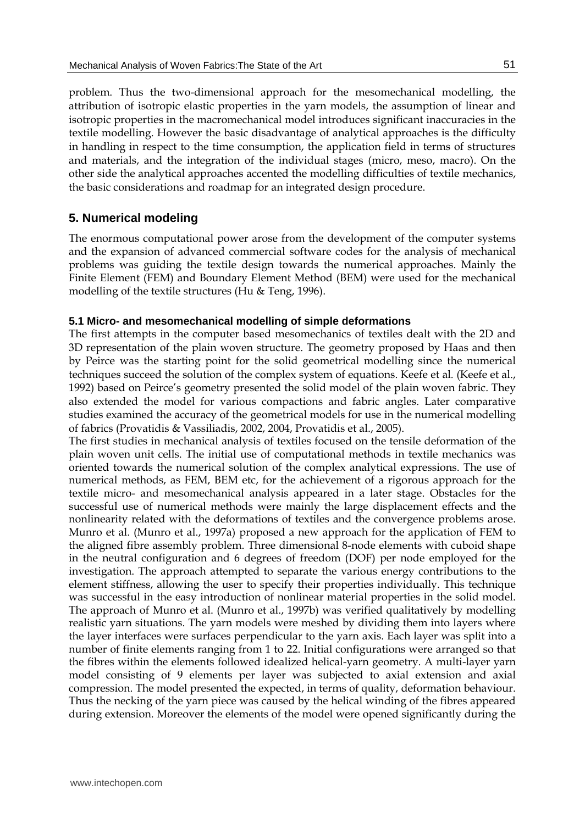problem. Thus the two-dimensional approach for the mesomechanical modelling, the attribution of isotropic elastic properties in the yarn models, the assumption of linear and isotropic properties in the macromechanical model introduces significant inaccuracies in the textile modelling. However the basic disadvantage of analytical approaches is the difficulty in handling in respect to the time consumption, the application field in terms of structures and materials, and the integration of the individual stages (micro, meso, macro). On the other side the analytical approaches accented the modelling difficulties of textile mechanics, the basic considerations and roadmap for an integrated design procedure.

# **5. Numerical modeling**

The enormous computational power arose from the development of the computer systems and the expansion of advanced commercial software codes for the analysis of mechanical problems was guiding the textile design towards the numerical approaches. Mainly the Finite Element (FEM) and Boundary Element Method (BEM) were used for the mechanical modelling of the textile structures (Hu & Teng, 1996).

## **5.1 Micro- and mesomechanical modelling of simple deformations**

The first attempts in the computer based mesomechanics of textiles dealt with the 2D and 3D representation of the plain woven structure. The geometry proposed by Haas and then by Peirce was the starting point for the solid geometrical modelling since the numerical techniques succeed the solution of the complex system of equations. Keefe et al*.* (Keefe et al., 1992) based on Peirce's geometry presented the solid model of the plain woven fabric. They also extended the model for various compactions and fabric angles. Later comparative studies examined the accuracy of the geometrical models for use in the numerical modelling of fabrics (Provatidis & Vassiliadis, 2002, 2004, Provatidis et al., 2005).

The first studies in mechanical analysis of textiles focused on the tensile deformation of the plain woven unit cells. The initial use of computational methods in textile mechanics was oriented towards the numerical solution of the complex analytical expressions. The use of numerical methods, as FEM, BEM etc, for the achievement of a rigorous approach for the textile micro- and mesomechanical analysis appeared in a later stage. Obstacles for the successful use of numerical methods were mainly the large displacement effects and the nonlinearity related with the deformations of textiles and the convergence problems arose. Munro et al. (Munro et al., 1997a) proposed a new approach for the application of FEM to the aligned fibre assembly problem. Three dimensional 8-node elements with cuboid shape in the neutral configuration and 6 degrees of freedom (DOF) per node employed for the investigation. The approach attempted to separate the various energy contributions to the element stiffness, allowing the user to specify their properties individually. This technique was successful in the easy introduction of nonlinear material properties in the solid model. The approach of Munro et al. (Munro et al., 1997b) was verified qualitatively by modelling realistic yarn situations. The yarn models were meshed by dividing them into layers where the layer interfaces were surfaces perpendicular to the yarn axis. Each layer was split into a number of finite elements ranging from 1 to 22. Initial configurations were arranged so that the fibres within the elements followed idealized helical-yarn geometry. A multi-layer yarn model consisting of 9 elements per layer was subjected to axial extension and axial compression. The model presented the expected, in terms of quality, deformation behaviour. Thus the necking of the yarn piece was caused by the helical winding of the fibres appeared during extension. Moreover the elements of the model were opened significantly during the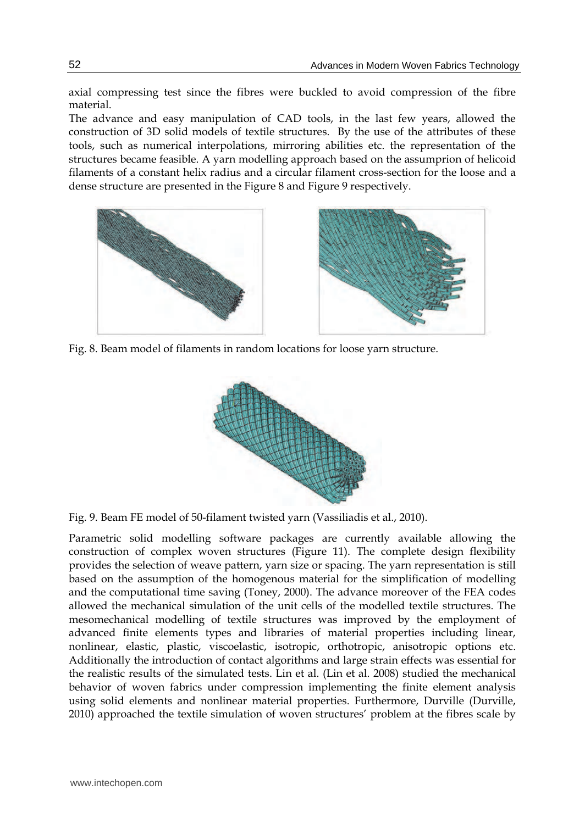axial compressing test since the fibres were buckled to avoid compression of the fibre material.

The advance and easy manipulation of CAD tools, in the last few years, allowed the construction of 3D solid models of textile structures. By the use of the attributes of these tools, such as numerical interpolations, mirroring abilities etc. the representation of the structures became feasible. A yarn modelling approach based on the assumprion of helicoid filaments of a constant helix radius and a circular filament cross-section for the loose and a dense structure are presented in the Figure 8 and Figure 9 respectively.



Fig. 8. Beam model of filaments in random locations for loose yarn structure.



Fig. 9. Beam FE model of 50-filament twisted yarn (Vassiliadis et al., 2010).

Parametric solid modelling software packages are currently available allowing the construction of complex woven structures (Figure 11). The complete design flexibility provides the selection of weave pattern, yarn size or spacing. The yarn representation is still based on the assumption of the homogenous material for the simplification of modelling and the computational time saving (Toney, 2000). The advance moreover of the FEA codes allowed the mechanical simulation of the unit cells of the modelled textile structures. The mesomechanical modelling of textile structures was improved by the employment of advanced finite elements types and libraries of material properties including linear, nonlinear, elastic, plastic, viscoelastic, isotropic, orthotropic, anisotropic options etc. Additionally the introduction of contact algorithms and large strain effects was essential for the realistic results of the simulated tests. Lin et al. (Lin et al. 2008) studied the mechanical behavior of woven fabrics under compression implementing the finite element analysis using solid elements and nonlinear material properties. Furthermore, Durville (Durville, 2010) approached the textile simulation of woven structures' problem at the fibres scale by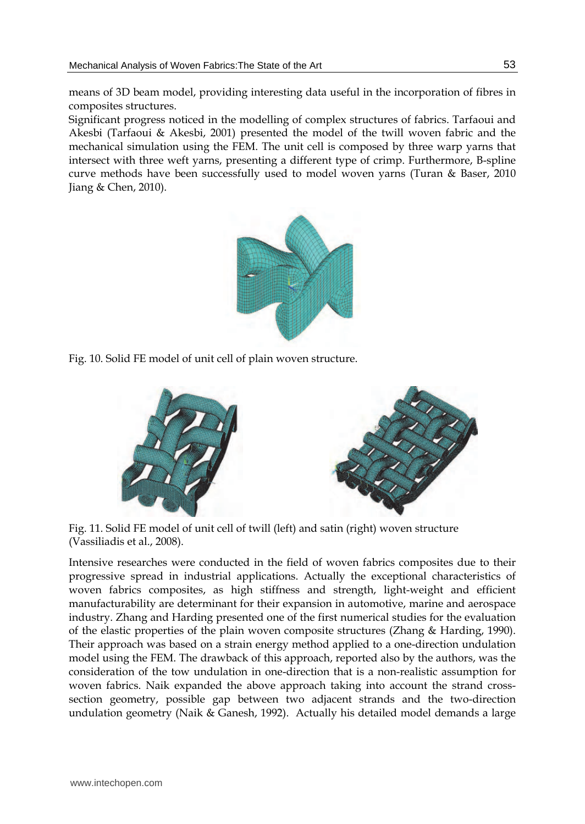means of 3D beam model, providing interesting data useful in the incorporation of fibres in composites structures.

Significant progress noticed in the modelling of complex structures of fabrics. Tarfaoui and Akesbi (Tarfaoui & Akesbi, 2001) presented the model of the twill woven fabric and the mechanical simulation using the FEM. The unit cell is composed by three warp yarns that intersect with three weft yarns, presenting a different type of crimp. Furthermore, B-spline curve methods have been successfully used to model woven yarns (Turan & Baser, 2010 Jiang & Chen, 2010).



Fig. 10. Solid FE model of unit cell of plain woven structure.



Fig. 11. Solid FE model of unit cell of twill (left) and satin (right) woven structure (Vassiliadis et al., 2008).

Intensive researches were conducted in the field of woven fabrics composites due to their progressive spread in industrial applications. Actually the exceptional characteristics of woven fabrics composites, as high stiffness and strength, light-weight and efficient manufacturability are determinant for their expansion in automotive, marine and aerospace industry. Zhang and Harding presented one of the first numerical studies for the evaluation of the elastic properties of the plain woven composite structures (Zhang & Harding, 1990). Their approach was based on a strain energy method applied to a one-direction undulation model using the FEM. The drawback of this approach, reported also by the authors, was the consideration of the tow undulation in one-direction that is a non-realistic assumption for woven fabrics. Naik expanded the above approach taking into account the strand crosssection geometry, possible gap between two adjacent strands and the two-direction undulation geometry (Naik & Ganesh, 1992). Actually his detailed model demands a large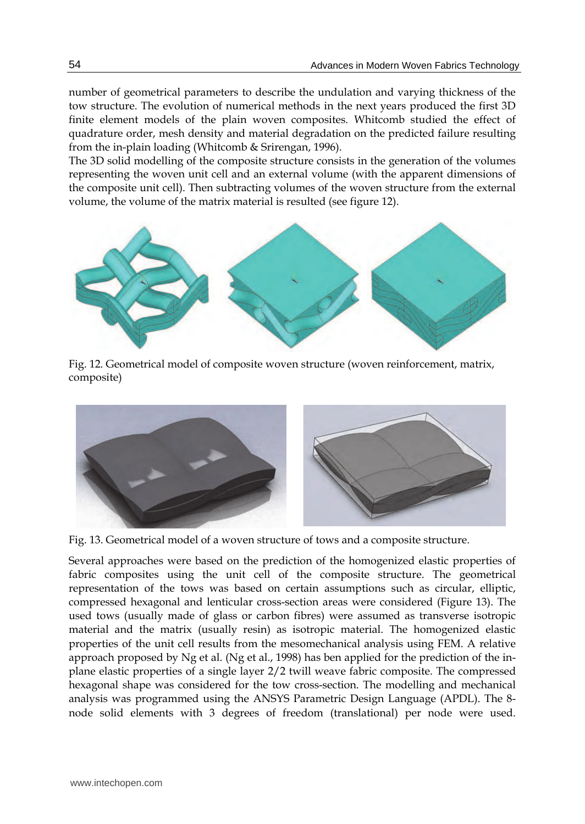number of geometrical parameters to describe the undulation and varying thickness of the tow structure. The evolution of numerical methods in the next years produced the first 3D finite element models of the plain woven composites. Whitcomb studied the effect of quadrature order, mesh density and material degradation on the predicted failure resulting from the in-plain loading (Whitcomb & Srirengan, 1996).

The 3D solid modelling of the composite structure consists in the generation of the volumes representing the woven unit cell and an external volume (with the apparent dimensions of the composite unit cell). Then subtracting volumes of the woven structure from the external volume, the volume of the matrix material is resulted (see figure 12).



Fig. 12. Geometrical model of composite woven structure (woven reinforcement, matrix, composite)



Fig. 13. Geometrical model of a woven structure of tows and a composite structure.

Several approaches were based on the prediction of the homogenized elastic properties of fabric composites using the unit cell of the composite structure. The geometrical representation of the tows was based on certain assumptions such as circular, elliptic, compressed hexagonal and lenticular cross-section areas were considered (Figure 13). The used tows (usually made of glass or carbon fibres) were assumed as transverse isotropic material and the matrix (usually resin) as isotropic material. The homogenized elastic properties of the unit cell results from the mesomechanical analysis using FEM. A relative approach proposed by Ng et al. (Ng et al., 1998) has ben applied for the prediction of the inplane elastic properties of a single layer 2/2 twill weave fabric composite. The compressed hexagonal shape was considered for the tow cross-section. The modelling and mechanical analysis was programmed using the ANSYS Parametric Design Language (APDL). The 8 node solid elements with 3 degrees of freedom (translational) per node were used.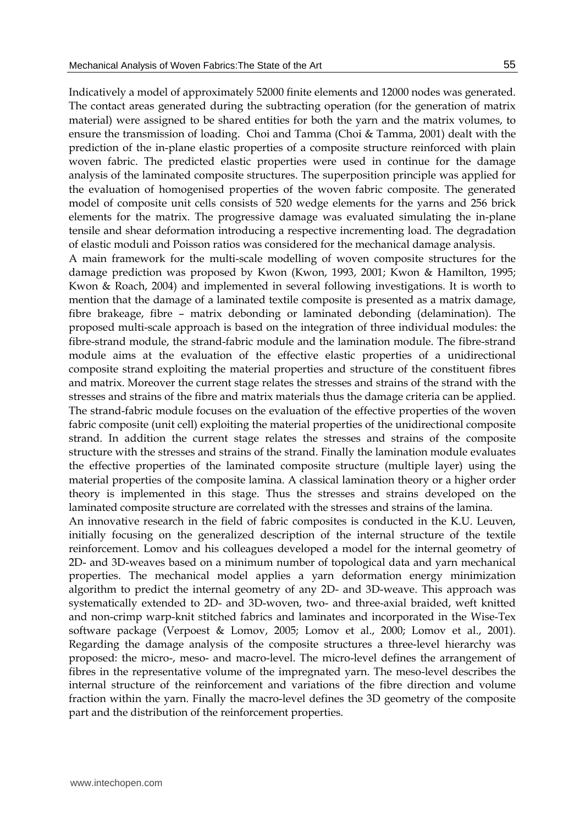Indicatively a model of approximately 52000 finite elements and 12000 nodes was generated. The contact areas generated during the subtracting operation (for the generation of matrix material) were assigned to be shared entities for both the yarn and the matrix volumes, to ensure the transmission of loading. Choi and Tamma (Choi & Tamma, 2001) dealt with the prediction of the in-plane elastic properties of a composite structure reinforced with plain woven fabric. The predicted elastic properties were used in continue for the damage analysis of the laminated composite structures. The superposition principle was applied for the evaluation of homogenised properties of the woven fabric composite. The generated model of composite unit cells consists of 520 wedge elements for the yarns and 256 brick elements for the matrix. The progressive damage was evaluated simulating the in-plane tensile and shear deformation introducing a respective incrementing load. The degradation of elastic moduli and Poisson ratios was considered for the mechanical damage analysis.

A main framework for the multi-scale modelling of woven composite structures for the damage prediction was proposed by Kwon (Kwon, 1993, 2001; Kwon & Hamilton, 1995; Kwon & Roach, 2004) and implemented in several following investigations. It is worth to mention that the damage of a laminated textile composite is presented as a matrix damage, fibre brakeage, fibre – matrix debonding or laminated debonding (delamination). The proposed multi-scale approach is based on the integration of three individual modules: the fibre-strand module, the strand-fabric module and the lamination module. The fibre-strand module aims at the evaluation of the effective elastic properties of a unidirectional composite strand exploiting the material properties and structure of the constituent fibres and matrix. Moreover the current stage relates the stresses and strains of the strand with the stresses and strains of the fibre and matrix materials thus the damage criteria can be applied. The strand-fabric module focuses on the evaluation of the effective properties of the woven fabric composite (unit cell) exploiting the material properties of the unidirectional composite strand. In addition the current stage relates the stresses and strains of the composite structure with the stresses and strains of the strand. Finally the lamination module evaluates the effective properties of the laminated composite structure (multiple layer) using the material properties of the composite lamina. A classical lamination theory or a higher order theory is implemented in this stage. Thus the stresses and strains developed on the laminated composite structure are correlated with the stresses and strains of the lamina.

An innovative research in the field of fabric composites is conducted in the K.U. Leuven, initially focusing on the generalized description of the internal structure of the textile reinforcement. Lomov and his colleagues developed a model for the internal geometry of 2D- and 3D-weaves based on a minimum number of topological data and yarn mechanical properties. The mechanical model applies a yarn deformation energy minimization algorithm to predict the internal geometry of any 2D- and 3D-weave. This approach was systematically extended to 2D- and 3D-woven, two- and three-axial braided, weft knitted and non-crimp warp-knit stitched fabrics and laminates and incorporated in the Wise-Tex software package (Verpoest & Lomov, 2005; Lomov et al., 2000; Lomov et al., 2001). Regarding the damage analysis of the composite structures a three-level hierarchy was proposed: the micro-, meso- and macro-level. The micro-level defines the arrangement of fibres in the representative volume of the impregnated yarn. The meso-level describes the internal structure of the reinforcement and variations of the fibre direction and volume fraction within the yarn. Finally the macro-level defines the 3D geometry of the composite part and the distribution of the reinforcement properties.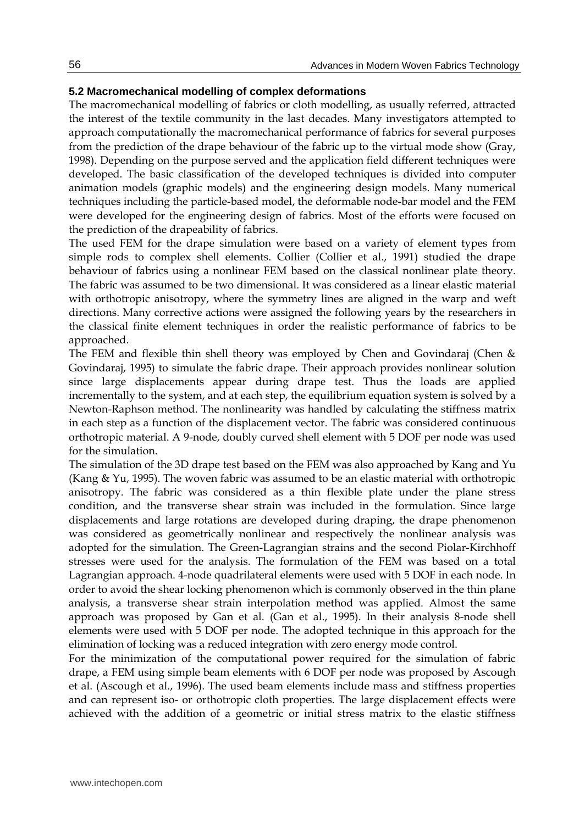## **5.2 Macromechanical modelling of complex deformations**

The macromechanical modelling of fabrics or cloth modelling, as usually referred, attracted the interest of the textile community in the last decades. Many investigators attempted to approach computationally the macromechanical performance of fabrics for several purposes from the prediction of the drape behaviour of the fabric up to the virtual mode show (Gray, 1998). Depending on the purpose served and the application field different techniques were developed. The basic classification of the developed techniques is divided into computer animation models (graphic models) and the engineering design models. Many numerical techniques including the particle-based model, the deformable node-bar model and the FEM were developed for the engineering design of fabrics. Most of the efforts were focused on the prediction of the drapeability of fabrics.

The used FEM for the drape simulation were based on a variety of element types from simple rods to complex shell elements. Collier (Collier et al., 1991) studied the drape behaviour of fabrics using a nonlinear FEM based on the classical nonlinear plate theory. The fabric was assumed to be two dimensional. It was considered as a linear elastic material with orthotropic anisotropy, where the symmetry lines are aligned in the warp and weft directions. Many corrective actions were assigned the following years by the researchers in the classical finite element techniques in order the realistic performance of fabrics to be approached.

The FEM and flexible thin shell theory was employed by Chen and Govindaraj (Chen & Govindaraj, 1995) to simulate the fabric drape. Their approach provides nonlinear solution since large displacements appear during drape test. Thus the loads are applied incrementally to the system, and at each step, the equilibrium equation system is solved by a Newton-Raphson method. The nonlinearity was handled by calculating the stiffness matrix in each step as a function of the displacement vector. The fabric was considered continuous orthotropic material. A 9-node, doubly curved shell element with 5 DOF per node was used for the simulation.

The simulation of the 3D drape test based on the FEM was also approached by Kang and Yu (Kang & Yu, 1995). The woven fabric was assumed to be an elastic material with orthotropic anisotropy. The fabric was considered as a thin flexible plate under the plane stress condition, and the transverse shear strain was included in the formulation. Since large displacements and large rotations are developed during draping, the drape phenomenon was considered as geometrically nonlinear and respectively the nonlinear analysis was adopted for the simulation. The Green-Lagrangian strains and the second Piolar-Kirchhoff stresses were used for the analysis. The formulation of the FEM was based on a total Lagrangian approach. 4-node quadrilateral elements were used with 5 DOF in each node. In order to avoid the shear locking phenomenon which is commonly observed in the thin plane analysis, a transverse shear strain interpolation method was applied. Almost the same approach was proposed by Gan et al. (Gan et al., 1995). In their analysis 8-node shell elements were used with 5 DOF per node. The adopted technique in this approach for the elimination of locking was a reduced integration with zero energy mode control.

For the minimization of the computational power required for the simulation of fabric drape, a FEM using simple beam elements with 6 DOF per node was proposed by Ascough et al. (Ascough et al., 1996). The used beam elements include mass and stiffness properties and can represent iso- or orthotropic cloth properties. The large displacement effects were achieved with the addition of a geometric or initial stress matrix to the elastic stiffness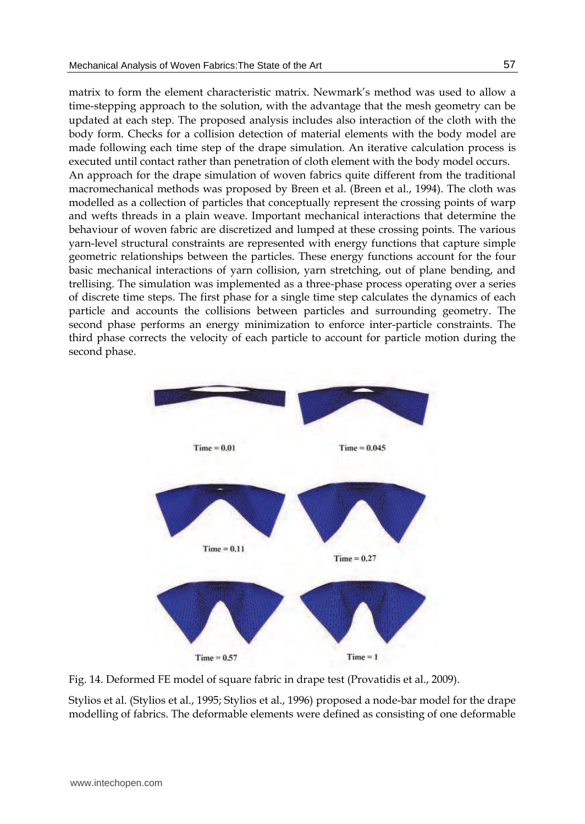matrix to form the element characteristic matrix. Newmark's method was used to allow a time-stepping approach to the solution, with the advantage that the mesh geometry can be updated at each step. The proposed analysis includes also interaction of the cloth with the body form. Checks for a collision detection of material elements with the body model are made following each time step of the drape simulation. An iterative calculation process is executed until contact rather than penetration of cloth element with the body model occurs. An approach for the drape simulation of woven fabrics quite different from the traditional macromechanical methods was proposed by Breen et al. (Breen et al., 1994). The cloth was modelled as a collection of particles that conceptually represent the crossing points of warp and wefts threads in a plain weave. Important mechanical interactions that determine the behaviour of woven fabric are discretized and lumped at these crossing points. The various yarn-level structural constraints are represented with energy functions that capture simple geometric relationships between the particles. These energy functions account for the four basic mechanical interactions of yarn collision, yarn stretching, out of plane bending, and trellising. The simulation was implemented as a three-phase process operating over a series of discrete time steps. The first phase for a single time step calculates the dynamics of each particle and accounts the collisions between particles and surrounding geometry. The second phase performs an energy minimization to enforce inter-particle constraints. The third phase corrects the velocity of each particle to account for particle motion during the second phase.





Stylios et al. (Stylios et al., 1995; Stylios et al., 1996) proposed a node-bar model for the drape modelling of fabrics. The deformable elements were defined as consisting of one deformable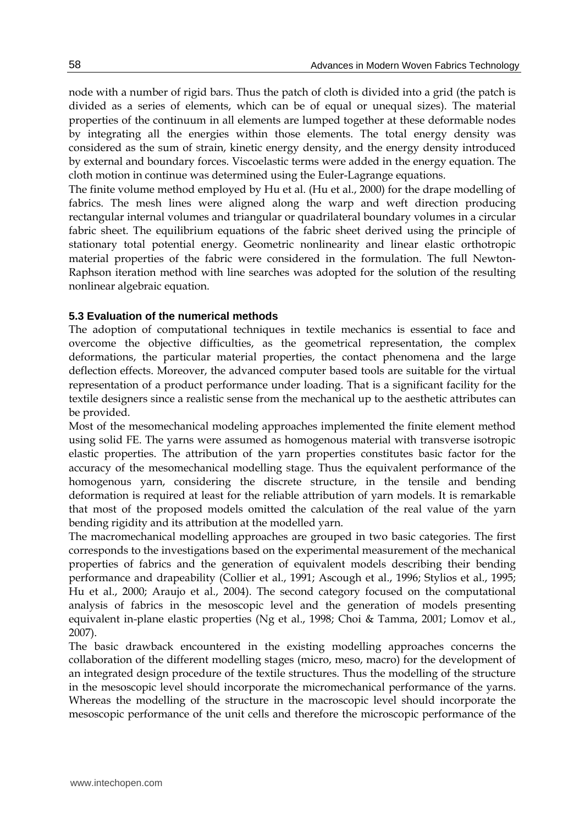node with a number of rigid bars. Thus the patch of cloth is divided into a grid (the patch is divided as a series of elements, which can be of equal or unequal sizes). The material properties of the continuum in all elements are lumped together at these deformable nodes by integrating all the energies within those elements. The total energy density was considered as the sum of strain, kinetic energy density, and the energy density introduced by external and boundary forces. Viscoelastic terms were added in the energy equation. The cloth motion in continue was determined using the Euler-Lagrange equations.

The finite volume method employed by Hu et al. (Hu et al., 2000) for the drape modelling of fabrics. The mesh lines were aligned along the warp and weft direction producing rectangular internal volumes and triangular or quadrilateral boundary volumes in a circular fabric sheet. The equilibrium equations of the fabric sheet derived using the principle of stationary total potential energy. Geometric nonlinearity and linear elastic orthotropic material properties of the fabric were considered in the formulation. The full Newton-Raphson iteration method with line searches was adopted for the solution of the resulting nonlinear algebraic equation.

# **5.3 Evaluation of the numerical methods**

The adoption of computational techniques in textile mechanics is essential to face and overcome the objective difficulties, as the geometrical representation, the complex deformations, the particular material properties, the contact phenomena and the large deflection effects. Moreover, the advanced computer based tools are suitable for the virtual representation of a product performance under loading. That is a significant facility for the textile designers since a realistic sense from the mechanical up to the aesthetic attributes can be provided.

Most of the mesomechanical modeling approaches implemented the finite element method using solid FE. The yarns were assumed as homogenous material with transverse isotropic elastic properties. The attribution of the yarn properties constitutes basic factor for the accuracy of the mesomechanical modelling stage. Thus the equivalent performance of the homogenous yarn, considering the discrete structure, in the tensile and bending deformation is required at least for the reliable attribution of yarn models. It is remarkable that most of the proposed models omitted the calculation of the real value of the yarn bending rigidity and its attribution at the modelled yarn.

The macromechanical modelling approaches are grouped in two basic categories. The first corresponds to the investigations based on the experimental measurement of the mechanical properties of fabrics and the generation of equivalent models describing their bending performance and drapeability (Collier et al., 1991; Ascough et al., 1996; Stylios et al., 1995; Hu et al., 2000; Araujo et al., 2004). The second category focused on the computational analysis of fabrics in the mesoscopic level and the generation of models presenting equivalent in-plane elastic properties (Ng et al., 1998; Choi & Tamma, 2001; Lomov et al., 2007).

The basic drawback encountered in the existing modelling approaches concerns the collaboration of the different modelling stages (micro, meso, macro) for the development of an integrated design procedure of the textile structures. Thus the modelling of the structure in the mesoscopic level should incorporate the micromechanical performance of the yarns. Whereas the modelling of the structure in the macroscopic level should incorporate the mesoscopic performance of the unit cells and therefore the microscopic performance of the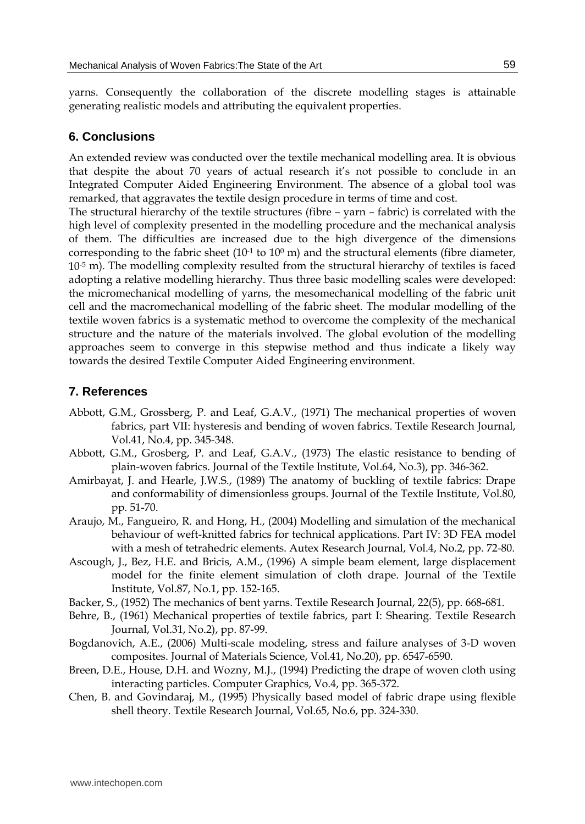yarns. Consequently the collaboration of the discrete modelling stages is attainable generating realistic models and attributing the equivalent properties.

# **6. Conclusions**

An extended review was conducted over the textile mechanical modelling area. It is obvious that despite the about 70 years of actual research it's not possible to conclude in an Integrated Computer Aided Engineering Environment. The absence of a global tool was remarked, that aggravates the textile design procedure in terms of time and cost.

The structural hierarchy of the textile structures (fibre – yarn – fabric) is correlated with the high level of complexity presented in the modelling procedure and the mechanical analysis of them. The difficulties are increased due to the high divergence of the dimensions corresponding to the fabric sheet ( $10^{-1}$  to  $10^{0}$  m) and the structural elements (fibre diameter, 10-5 m). The modelling complexity resulted from the structural hierarchy of textiles is faced adopting a relative modelling hierarchy. Thus three basic modelling scales were developed: the micromechanical modelling of yarns, the mesomechanical modelling of the fabric unit cell and the macromechanical modelling of the fabric sheet. The modular modelling of the textile woven fabrics is a systematic method to overcome the complexity of the mechanical structure and the nature of the materials involved. The global evolution of the modelling approaches seem to converge in this stepwise method and thus indicate a likely way towards the desired Textile Computer Aided Engineering environment.

# **7. References**

- Abbott, G.M., Grossberg, P. and Leaf, G.A.V., (1971) The mechanical properties of woven fabrics, part VII: hysteresis and bending of woven fabrics. Textile Research Journal, Vol.41, No.4, pp. 345-348.
- Abbott, G.M., Grosberg, P. and Leaf, G.A.V., (1973) The elastic resistance to bending of plain-woven fabrics. Journal of the Textile Institute, Vol.64, No.3), pp. 346-362.
- Amirbayat, J. and Hearle, J.W.S., (1989) The anatomy of buckling of textile fabrics: Drape and conformability of dimensionless groups. Journal of the Textile Institute, Vol.80, pp. 51-70.
- Araujo, M., Fangueiro, R. and Hong, H., (2004) Modelling and simulation of the mechanical behaviour of weft-knitted fabrics for technical applications. Part IV: 3D FEA model with a mesh of tetrahedric elements. Autex Research Journal, Vol.4, No.2, pp. 72-80.
- Ascough, J., Bez, H.E. and Bricis, A.M., (1996) A simple beam element, large displacement model for the finite element simulation of cloth drape. Journal of the Textile Institute, Vol.87, No.1, pp. 152-165.
- Backer, S., (1952) The mechanics of bent yarns. Textile Research Journal, 22(5), pp. 668-681.
- Behre, B., (1961) Mechanical properties of textile fabrics, part I: Shearing. Textile Research Journal, Vol.31, No.2), pp. 87-99.
- Bogdanovich, A.E., (2006) Multi-scale modeling, stress and failure analyses of 3-D woven composites. Journal of Materials Science, Vol.41, No.20), pp. 6547-6590.
- Breen, D.E., House, D.H. and Wozny, M.J., (1994) Predicting the drape of woven cloth using interacting particles. Computer Graphics, Vo.4, pp. 365-372.
- Chen, B. and Govindaraj, M., (1995) Physically based model of fabric drape using flexible shell theory. Textile Research Journal, Vol.65, No.6, pp. 324-330.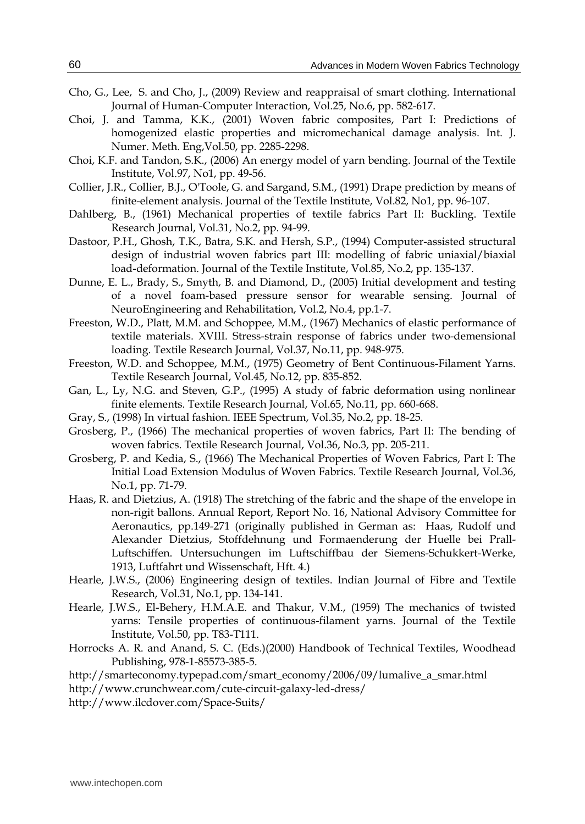- Cho, G., Lee, S. and Cho, J., (2009) Review and reappraisal of smart clothing. International Journal of Human-Computer Interaction, Vol.25, No.6, pp. 582-617.
- Choi, J. and Tamma, K.K., (2001) Woven fabric composites, Part I: Predictions of homogenized elastic properties and micromechanical damage analysis. Int. J. Numer. Meth. Eng,Vol.50, pp. 2285-2298.
- Choi, K.F. and Tandon, S.K., (2006) An energy model of yarn bending. Journal of the Textile Institute, Vol.97, No1, pp. 49-56.
- Collier, J.R., Collier, B.J., O'Toole, G. and Sargand, S.M., (1991) Drape prediction by means of finite-element analysis. Journal of the Textile Institute, Vol.82, No1, pp. 96-107.
- Dahlberg, B., (1961) Mechanical properties of textile fabrics Part II: Buckling. Textile Research Journal, Vol.31, No.2, pp. 94-99.
- Dastoor, P.H., Ghosh, T.K., Batra, S.K. and Hersh, S.P., (1994) Computer-assisted structural design of industrial woven fabrics part III: modelling of fabric uniaxial/biaxial load-deformation. Journal of the Textile Institute, Vol.85, No.2, pp. 135-137.
- Dunne, E. L., Brady, S., Smyth, B. and Diamond, D., (2005) Initial development and testing of a novel foam-based pressure sensor for wearable sensing. Journal of NeuroEngineering and Rehabilitation, Vol.2, No.4, pp.1-7.
- Freeston, W.D., Platt, M.M. and Schoppee, M.M., (1967) Mechanics of elastic performance of textile materials. XVIII. Stress-strain response of fabrics under two-demensional loading. Textile Research Journal, Vol.37, No.11, pp. 948-975.
- Freeston, W.D. and Schoppee, M.M., (1975) Geometry of Bent Continuous-Filament Yarns. Textile Research Journal, Vol.45, No.12, pp. 835-852.
- Gan, L., Ly, N.G. and Steven, G.P., (1995) A study of fabric deformation using nonlinear finite elements. Textile Research Journal, Vol.65, No.11, pp. 660-668.
- Gray, S., (1998) In virtual fashion. IEEE Spectrum, Vol.35, No.2, pp. 18-25.
- Grosberg, P., (1966) The mechanical properties of woven fabrics, Part II: The bending of woven fabrics. Textile Research Journal, Vol.36, No.3, pp. 205-211.
- Grosberg, P. and Kedia, S., (1966) The Mechanical Properties of Woven Fabrics, Part I: The Initial Load Extension Modulus of Woven Fabrics. Textile Research Journal, Vol.36, No.1, pp. 71-79.
- Haas, R. and Dietzius, A. (1918) The stretching of the fabric and the shape of the envelope in non-rigit ballons. Annual Report, Report No. 16, National Advisory Committee for Aeronautics, pp.149-271 (originally published in German as: Haas, Rudolf und Alexander Dietzius, Stoffdehnung und Formaenderung der Huelle bei Prall-Luftschiffen. Untersuchungen im Luftschiffbau der Siemens-Schukkert-Werke, 1913, Luftfahrt und Wissenschaft, Hft. 4.)
- Hearle, J.W.S., (2006) Engineering design of textiles. Indian Journal of Fibre and Textile Research, Vol.31, No.1, pp. 134-141.
- Hearle, J.W.S., El-Behery, H.M.A.E. and Thakur, V.M., (1959) The mechanics of twisted yarns: Tensile properties of continuous-filament yarns. Journal of the Textile Institute, Vol.50, pp. T83-T111.
- Horrocks A. R. and Anand, S. C. (Eds.)(2000) Handbook of Technical Textiles, Woodhead Publishing, 978-1-85573-385-5.
- http://smarteconomy.typepad.com/smart\_economy/2006/09/lumalive\_a\_smar.html
- http://www.crunchwear.com/cute-circuit-galaxy-led-dress/
- http://www.ilcdover.com/Space-Suits/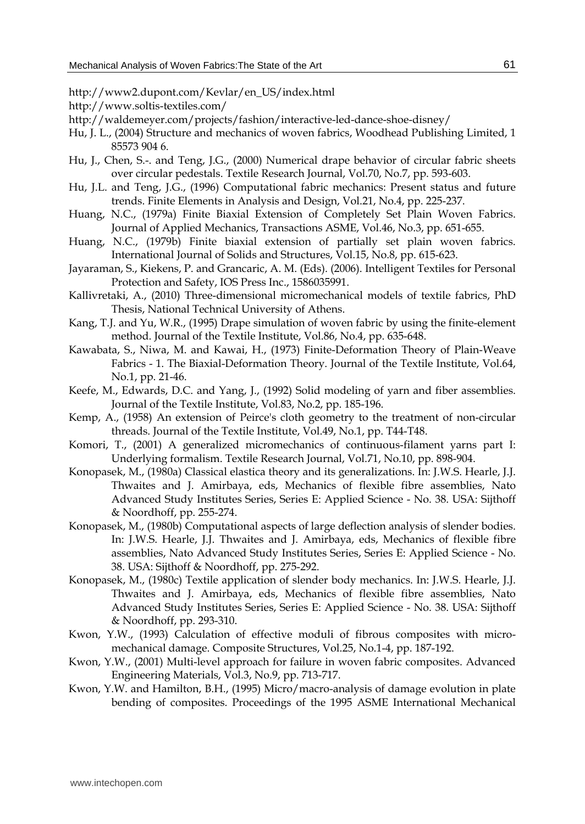- http://www2.dupont.com/Kevlar/en\_US/index.html
- http://www.soltis-textiles.com/
- http://waldemeyer.com/projects/fashion/interactive-led-dance-shoe-disney/
- Hu, J. L., (2004) Structure and mechanics of woven fabrics, Woodhead Publishing Limited, 1 85573 904 6.
- Hu, J., Chen, S.-. and Teng, J.G., (2000) Numerical drape behavior of circular fabric sheets over circular pedestals. Textile Research Journal, Vol.70, No.7, pp. 593-603.
- Hu, J.L. and Teng, J.G., (1996) Computational fabric mechanics: Present status and future trends. Finite Elements in Analysis and Design, Vol.21, No.4, pp. 225-237.
- Huang, N.C., (1979a) Finite Biaxial Extension of Completely Set Plain Woven Fabrics. Journal of Applied Mechanics, Transactions ASME, Vol.46, No.3, pp. 651-655.
- Huang, N.C., (1979b) Finite biaxial extension of partially set plain woven fabrics. International Journal of Solids and Structures, Vol.15, No.8, pp. 615-623.
- Jayaraman, S., Kiekens, P. and Grancaric, A. M. (Eds). (2006). Intelligent Textiles for Personal Protection and Safety, IOS Press Inc., 1586035991.
- Kallivretaki, A., (2010) Three-dimensional micromechanical models of textile fabrics, PhD Thesis, National Technical University of Athens.
- Kang, T.J. and Yu, W.R., (1995) Drape simulation of woven fabric by using the finite-element method. Journal of the Textile Institute, Vol.86, No.4, pp. 635-648.
- Kawabata, S., Niwa, M. and Kawai, H., (1973) Finite-Deformation Theory of Plain-Weave Fabrics - 1. The Biaxial-Deformation Theory. Journal of the Textile Institute, Vol.64, No.1, pp. 21-46.
- Keefe, M., Edwards, D.C. and Yang, J., (1992) Solid modeling of yarn and fiber assemblies. Journal of the Textile Institute, Vol.83, No.2, pp. 185-196.
- Kemp, A., (1958) An extension of Peirce's cloth geometry to the treatment of non-circular threads. Journal of the Textile Institute, Vol.49, No.1, pp. T44-T48.
- Komori, T., (2001) A generalized micromechanics of continuous-filament yarns part I: Underlying formalism. Textile Research Journal, Vol.71, No.10, pp. 898-904.
- Konopasek, M., (1980a) Classical elastica theory and its generalizations. In: J.W.S. Hearle, J.J. Thwaites and J. Amirbaya, eds, Mechanics of flexible fibre assemblies, Nato Advanced Study Institutes Series, Series E: Applied Science - No. 38. USA: Sijthoff & Noordhoff, pp. 255-274.
- Konopasek, M., (1980b) Computational aspects of large deflection analysis of slender bodies. In: J.W.S. Hearle, J.J. Thwaites and J. Amirbaya, eds, Mechanics of flexible fibre assemblies, Nato Advanced Study Institutes Series, Series E: Applied Science - No. 38. USA: Sijthoff & Noordhoff, pp. 275-292.
- Konopasek, M., (1980c) Textile application of slender body mechanics. In: J.W.S. Hearle, J.J. Thwaites and J. Amirbaya, eds, Mechanics of flexible fibre assemblies, Nato Advanced Study Institutes Series, Series E: Applied Science - No. 38. USA: Sijthoff & Noordhoff, pp. 293-310.
- Kwon, Y.W., (1993) Calculation of effective moduli of fibrous composites with micromechanical damage. Composite Structures, Vol.25, No.1-4, pp. 187-192.
- Kwon, Y.W., (2001) Multi-level approach for failure in woven fabric composites. Advanced Engineering Materials, Vol.3, No.9, pp. 713-717.
- Kwon, Y.W. and Hamilton, B.H., (1995) Micro/macro-analysis of damage evolution in plate bending of composites. Proceedings of the 1995 ASME International Mechanical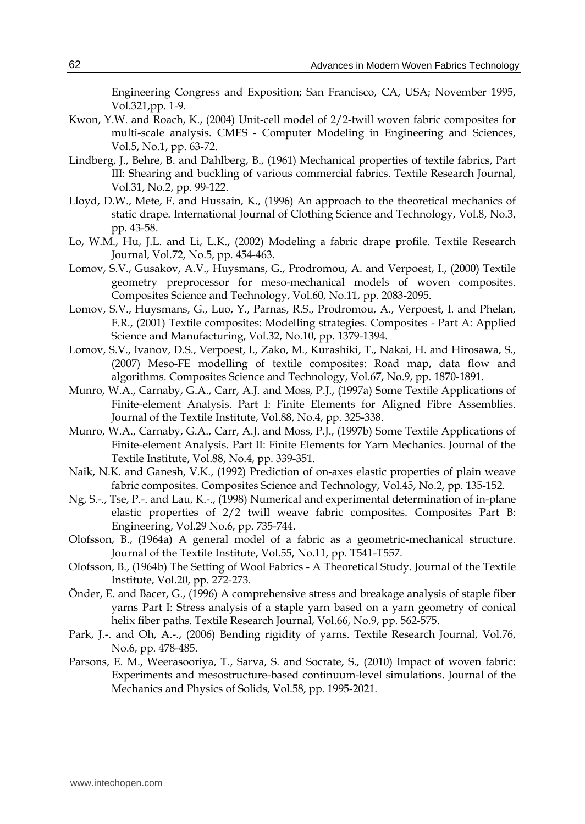Engineering Congress and Exposition; San Francisco, CA, USA; November 1995, Vol.321,pp. 1-9.

- Kwon, Y.W. and Roach, K., (2004) Unit-cell model of 2/2-twill woven fabric composites for multi-scale analysis. CMES - Computer Modeling in Engineering and Sciences, Vol.5, No.1, pp. 63-72.
- Lindberg, J., Behre, B. and Dahlberg, B., (1961) Mechanical properties of textile fabrics, Part III: Shearing and buckling of various commercial fabrics. Textile Research Journal, Vol.31, No.2, pp. 99-122.
- Lloyd, D.W., Mete, F. and Hussain, K., (1996) An approach to the theoretical mechanics of static drape. International Journal of Clothing Science and Technology, Vol.8, No.3, pp. 43-58.
- Lo, W.M., Hu, J.L. and Li, L.K., (2002) Modeling a fabric drape profile. Textile Research Journal, Vol.72, No.5, pp. 454-463.
- Lomov, S.V., Gusakov, A.V., Huysmans, G., Prodromou, A. and Verpoest, I., (2000) Textile geometry preprocessor for meso-mechanical models of woven composites. Composites Science and Technology, Vol.60, No.11, pp. 2083-2095.
- Lomov, S.V., Huysmans, G., Luo, Y., Parnas, R.S., Prodromou, A., Verpoest, I. and Phelan, F.R., (2001) Textile composites: Modelling strategies. Composites - Part A: Applied Science and Manufacturing, Vol.32, No.10, pp. 1379-1394.
- Lomov, S.V., Ivanov, D.S., Verpoest, I., Zako, M., Kurashiki, T., Nakai, H. and Hirosawa, S., (2007) Meso-FE modelling of textile composites: Road map, data flow and algorithms. Composites Science and Technology, Vol.67, No.9, pp. 1870-1891.
- Munro, W.A., Carnaby, G.A., Carr, A.J. and Moss, P.J., (1997a) Some Textile Applications of Finite-element Analysis. Part I: Finite Elements for Aligned Fibre Assemblies. Journal of the Textile Institute, Vol.88, No.4, pp. 325-338.
- Munro, W.A., Carnaby, G.A., Carr, A.J. and Moss, P.J., (1997b) Some Textile Applications of Finite-element Analysis. Part II: Finite Elements for Yarn Mechanics. Journal of the Textile Institute, Vol.88, No.4, pp. 339-351.
- Naik, N.K. and Ganesh, V.K., (1992) Prediction of on-axes elastic properties of plain weave fabric composites. Composites Science and Technology, Vol.45, No.2, pp. 135-152.
- Ng, S.-., Tse, P.-. and Lau, K.-., (1998) Numerical and experimental determination of in-plane elastic properties of 2/2 twill weave fabric composites. Composites Part B: Engineering, Vol.29 No.6, pp. 735-744.
- Olofsson, B., (1964a) A general model of a fabric as a geometric-mechanical structure. Journal of the Textile Institute, Vol.55, No.11, pp. T541-T557.
- Olofsson, B., (1964b) The Setting of Wool Fabrics A Theoretical Study. Journal of the Textile Institute, Vol.20, pp. 272-273.
- Önder, E. and Bacer, G., (1996) A comprehensive stress and breakage analysis of staple fiber yarns Part I: Stress analysis of a staple yarn based on a yarn geometry of conical helix fiber paths. Textile Research Journal, Vol.66, No.9, pp. 562-575.
- Park, J.-. and Oh, A.-., (2006) Bending rigidity of yarns. Textile Research Journal, Vol.76, No.6, pp. 478-485.
- Parsons, E. M., Weerasooriya, T., Sarva, S. and Socrate, S., (2010) Impact of woven fabric: Experiments and mesostructure-based continuum-level simulations. Journal of the Mechanics and Physics of Solids, Vol.58, pp. 1995-2021.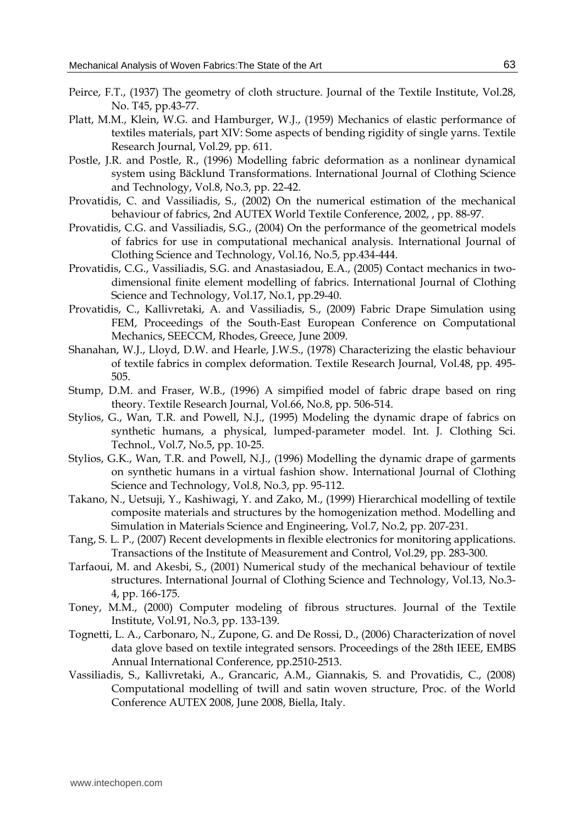- Peirce, F.T., (1937) The geometry of cloth structure. Journal of the Textile Institute, Vol.28, No. T45, pp.43-77.
- Platt, M.M., Klein, W.G. and Hamburger, W.J., (1959) Mechanics of elastic performance of textiles materials, part XIV: Some aspects of bending rigidity of single yarns. Textile Research Journal, Vol.29, pp. 611.
- Postle, J.R. and Postle, R., (1996) Modelling fabric deformation as a nonlinear dynamical system using Bäcklund Transformations. International Journal of Clothing Science and Technology, Vol.8, No.3, pp. 22-42.
- Provatidis, C. and Vassiliadis, S., (2002) On the numerical estimation of the mechanical behaviour of fabrics, 2nd AUTEX World Textile Conference, 2002, , pp. 88-97.
- Provatidis, C.G. and Vassiliadis, S.G., (2004) On the performance of the geometrical models of fabrics for use in computational mechanical analysis. International Journal of Clothing Science and Technology, Vol.16, No.5, pp.434-444.
- Provatidis, C.G., Vassiliadis, S.G. and Anastasiadou, E.A., (2005) Contact mechanics in twodimensional finite element modelling of fabrics. International Journal of Clothing Science and Technology, Vol.17, No.1, pp.29-40.
- Provatidis, C., Kallivretaki, A. and Vassiliadis, S., (2009) Fabric Drape Simulation using FEM, Proceedings of the South-East European Conference on Computational Mechanics, SEECCM, Rhodes, Greece, June 2009.
- Shanahan, W.J., Lloyd, D.W. and Hearle, J.W.S., (1978) Characterizing the elastic behaviour of textile fabrics in complex deformation. Textile Research Journal, Vol.48, pp. 495- 505.
- Stump, D.M. and Fraser, W.B., (1996) A simpified model of fabric drape based on ring theory. Textile Research Journal, Vol.66, No.8, pp. 506-514.
- Stylios, G., Wan, T.R. and Powell, N.J., (1995) Modeling the dynamic drape of fabrics on synthetic humans, a physical, lumped-parameter model. Int. J. Clothing Sci. Technol., Vol.7, No.5, pp. 10-25.
- Stylios, G.K., Wan, T.R. and Powell, N.J., (1996) Modelling the dynamic drape of garments on synthetic humans in a virtual fashion show. International Journal of Clothing Science and Technology, Vol.8, No.3, pp. 95-112.
- Takano, N., Uetsuji, Y., Kashiwagi, Y. and Zako, M., (1999) Hierarchical modelling of textile composite materials and structures by the homogenization method. Modelling and Simulation in Materials Science and Engineering, Vol.7, No.2, pp. 207-231.
- Tang, S. L. P., (2007) Recent developments in flexible electronics for monitoring applications. Transactions of the Institute of Measurement and Control, Vol.29, pp. 283-300.
- Tarfaoui, M. and Akesbi, S., (2001) Numerical study of the mechanical behaviour of textile structures. International Journal of Clothing Science and Technology, Vol.13, No.3- 4, pp. 166-175.
- Toney, M.M., (2000) Computer modeling of fibrous structures. Journal of the Textile Institute, Vol.91, No.3, pp. 133-139.
- Tognetti, L. A., Carbonaro, N., Zupone, G. and De Rossi, D., (2006) Characterization of novel data glove based on textile integrated sensors. Proceedings of the 28th IEEE, EMBS Annual International Conference, pp.2510-2513.
- Vassiliadis, S., Kallivretaki, A., Grancaric, A.M., Giannakis, S. and Provatidis, C., (2008) Computational modelling of twill and satin woven structure, Proc. of the World Conference AUTEX 2008, June 2008, Biella, Italy.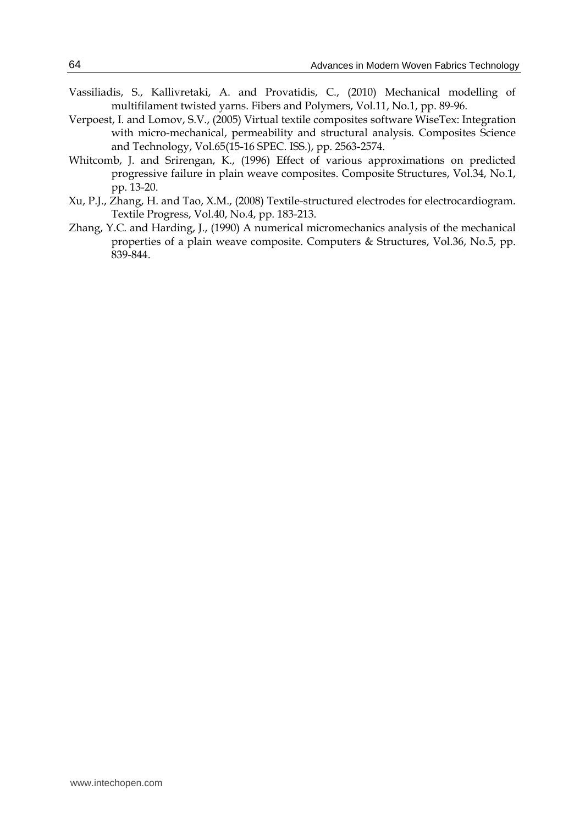- Vassiliadis, S., Kallivretaki, A. and Provatidis, C., (2010) Mechanical modelling of multifilament twisted yarns. Fibers and Polymers, Vol.11, No.1, pp. 89-96.
- Verpoest, I. and Lomov, S.V., (2005) Virtual textile composites software WiseTex: Integration with micro-mechanical, permeability and structural analysis. Composites Science and Technology, Vol.65(15-16 SPEC. ISS.), pp. 2563-2574.
- Whitcomb, J. and Srirengan, K., (1996) Effect of various approximations on predicted progressive failure in plain weave composites. Composite Structures, Vol.34, No.1, pp. 13-20.
- Xu, P.J., Zhang, H. and Tao, X.M., (2008) Textile-structured electrodes for electrocardiogram. Textile Progress, Vol.40, No.4, pp. 183-213.
- Zhang, Y.C. and Harding, J., (1990) A numerical micromechanics analysis of the mechanical properties of a plain weave composite. Computers & Structures, Vol.36, No.5, pp. 839-844.